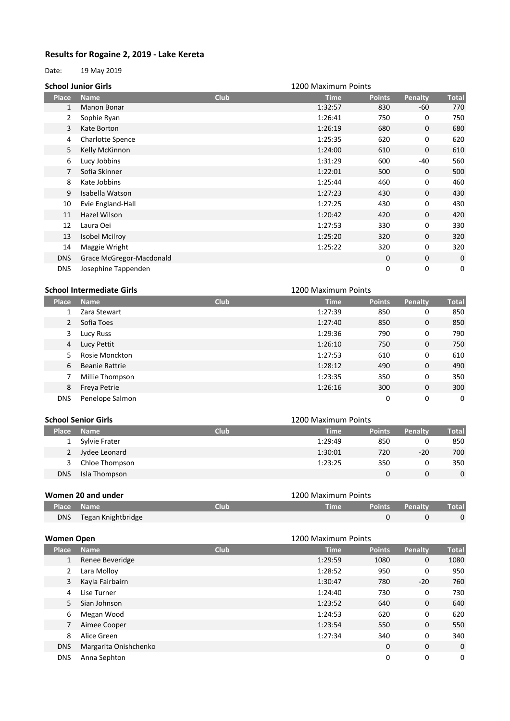## **Results for Rogaine 2, 2019 - Lake Kereta**

Date: 19 May 2019

|                | <b>School Junior Girls</b> |             | 1200 Maximum Points |               |              |              |
|----------------|----------------------------|-------------|---------------------|---------------|--------------|--------------|
| Place          | <b>Name</b>                | <b>Club</b> | <b>Time</b>         | <b>Points</b> | Penalty      | <b>Total</b> |
| $\mathbf{1}$   | Manon Bonar                |             | 1:32:57             | 830           | -60          | 770          |
| 2              | Sophie Ryan                |             | 1:26:41             | 750           | 0            | 750          |
| 3              | Kate Borton                |             | 1:26:19             | 680           | $\mathbf{0}$ | 680          |
| 4              | <b>Charlotte Spence</b>    |             | 1:25:35             | 620           | 0            | 620          |
| 5              | Kelly McKinnon             |             | 1:24:00             | 610           | $\mathbf 0$  | 610          |
| 6              | Lucy Jobbins               |             | 1:31:29             | 600           | -40          | 560          |
| $\overline{7}$ | Sofia Skinner              |             | 1:22:01             | 500           | $\mathbf{0}$ | 500          |
| 8              | Kate Jobbins               |             | 1:25:44             | 460           | 0            | 460          |
| 9              | Isabella Watson            |             | 1:27:23             | 430           | $\mathbf{0}$ | 430          |
| 10             | Evie England-Hall          |             | 1:27:25             | 430           | 0            | 430          |
| 11             | Hazel Wilson               |             | 1:20:42             | 420           | $\mathbf{0}$ | 420          |
| 12             | Laura Oei                  |             | 1:27:53             | 330           | 0            | 330          |
| 13             | Isobel Mcilroy             |             | 1:25:20             | 320           | $\mathbf{0}$ | 320          |
| 14             | Maggie Wright              |             | 1:25:22             | 320           | $\mathbf 0$  | 320          |
| DNS            | Grace McGregor-Macdonald   |             |                     | $\mathbf 0$   | $\mathbf 0$  | 0            |
| <b>DNS</b>     | Josephine Tappenden        |             |                     | 0             | 0            | 0            |

## **Place Name Club Time Points Penalty Total** Zara Stewart 1:27:39 850 0 850 Sofia Toes 1:27:40 850 0 850 Lucy Russ 1:29:36 790 0 790 Lucy Pettit 1:26:10 750 0 750 Rosie Monckton 1:27:53 610 0 610 Beanie Rattrie 1:28:12 490 0 490 Millie Thompson 1:23:35 350 0 350 Freya Petrie 1:26:16 300 0 300 DNS Penelope Salmon 0 0 0 **School Intermediate Girls** 1200 Maximum Points

| <b>School Senior Girls</b> |                |             | 1200 Maximum Points |               |         |          |  |
|----------------------------|----------------|-------------|---------------------|---------------|---------|----------|--|
| <b>Place</b>               | <b>Name</b>    | <b>Club</b> | <b>Time</b>         | <b>Points</b> | Penalty | Total    |  |
| $\mathbf{1}$               | Sylvie Frater  |             | 1:29:49             | 850           |         | 850      |  |
| 2                          | Jydee Leonard  |             | 1:30:01             | 720           | $-20$   | 700      |  |
| 3                          | Chloe Thompson |             | 1:23:25             | 350           |         | 350      |  |
| <b>DNS</b>                 | Isla Thompson  |             |                     |               |         | $\Omega$ |  |

|     | Women 20 and under |      | 1200 Maximum Points |  |                       |       |  |
|-----|--------------------|------|---------------------|--|-----------------------|-------|--|
|     | Place Name         | Club | Time                |  | <b>Points Penalty</b> | Total |  |
| DNS | Tegan Knightbridge |      |                     |  |                       |       |  |

| Women Open   |                       |             | 1200 Maximum Points |               |              |              |
|--------------|-----------------------|-------------|---------------------|---------------|--------------|--------------|
| <b>Place</b> | <b>Name</b>           | <b>Club</b> | <b>Time</b>         | <b>Points</b> | Penalty      | <b>Total</b> |
| 1            | Renee Beveridge       |             | 1:29:59             | 1080          | $\mathbf{0}$ | 1080         |
| 2            | Lara Molloy           |             | 1:28:52             | 950           | 0            | 950          |
| 3            | Kayla Fairbairn       |             | 1:30:47             | 780           | $-20$        | 760          |
| 4            | Lise Turner           |             | 1:24:40             | 730           | 0            | 730          |
| 5            | Sian Johnson          |             | 1:23:52             | 640           | $\mathbf{0}$ | 640          |
| 6            | Megan Wood            |             | 1:24:53             | 620           | 0            | 620          |
| 7            | Aimee Cooper          |             | 1:23:54             | 550           | $\mathbf{0}$ | 550          |
| 8            | Alice Green           |             | 1:27:34             | 340           | 0            | 340          |
| <b>DNS</b>   | Margarita Onishchenko |             |                     | $\mathbf 0$   | 0            | $\mathbf 0$  |
| <b>DNS</b>   | Anna Sephton          |             |                     | 0             | 0            | 0            |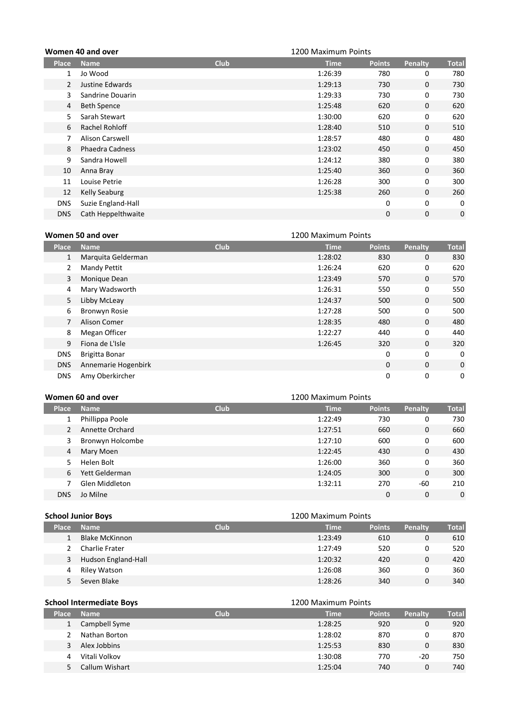|                | Women 40 and over      |             | 1200 Maximum Points |               |              |              |
|----------------|------------------------|-------------|---------------------|---------------|--------------|--------------|
| <b>Place</b>   | <b>Name</b>            | <b>Club</b> | <b>Time</b>         | <b>Points</b> | Penalty      | <b>Total</b> |
| 1              | Jo Wood                |             | 1:26:39             | 780           | 0            | 780          |
| $\overline{2}$ | Justine Edwards        |             | 1:29:13             | 730           | $\mathbf{0}$ | 730          |
| 3              | Sandrine Douarin       |             | 1:29:33             | 730           | 0            | 730          |
| 4              | <b>Beth Spence</b>     |             | 1:25:48             | 620           | $\mathbf{0}$ | 620          |
| 5              | Sarah Stewart          |             | 1:30:00             | 620           | 0            | 620          |
| 6              | Rachel Rohloff         |             | 1:28:40             | 510           | $\mathbf{0}$ | 510          |
| 7              | <b>Alison Carswell</b> |             | 1:28:57             | 480           | 0            | 480          |
| 8              | <b>Phaedra Cadness</b> |             | 1:23:02             | 450           | $\mathbf{0}$ | 450          |
| 9              | Sandra Howell          |             | 1:24:12             | 380           | 0            | 380          |
| 10             | Anna Bray              |             | 1:25:40             | 360           | $\mathbf{0}$ | 360          |
| 11             | Louise Petrie          |             | 1:26:28             | 300           | 0            | 300          |
| 12             | Kelly Seaburg          |             | 1:25:38             | 260           | $\mathbf{0}$ | 260          |
| <b>DNS</b>     | Suzie England-Hall     |             |                     | 0             | $\mathbf 0$  | 0            |
| <b>DNS</b>     | Cath Heppelthwaite     |             |                     | 0             | $\mathbf 0$  | 0            |

| Women 50 and over |  |  |
|-------------------|--|--|
|                   |  |  |

**Place Name Club Time Points Penalty Total** 1 Marquita Gelderman 1:28:02 830 0 830 2 Mandy Pettit 200 1:26:24 620 0 620 Monique Dean 1:23:49 570 0 570 Mary Wadsworth 1:26:31 550 0 550 Libby McLeay 1:24:37 500 0 500 Bronwyn Rosie 1:27:28 500 0 500 Alison Comer 1:28:35 480 0 480 8 Megan Officer 2012 1:22:27 440 0 440 Fiona de L'Isle 1:26:45 320 0 320 DNS Brigitta Bonar 0 0 0 DNS Annemarie Hogenbirk 0 0 0 DNS Amy Oberkircher 0 0 0 1200 Maximum Points

|              | Women 60 and over |             | 1200 Maximum Points |               |          |              |
|--------------|-------------------|-------------|---------------------|---------------|----------|--------------|
| <b>Place</b> | <b>Name</b>       | <b>Club</b> | <b>Time</b>         | <b>Points</b> | Penalty  | <b>Total</b> |
| 1            | Phillippa Poole   |             | 1:22:49             | 730           | 0        | 730          |
|              | Annette Orchard   |             | 1:27:51             | 660           | 0        | 660          |
| 3            | Bronwyn Holcombe  |             | 1:27:10             | 600           | 0        | 600          |
| 4            | Mary Moen         |             | 1:22:45             | 430           | 0        | 430          |
| 5.           | Helen Bolt        |             | 1:26:00             | 360           | 0        | 360          |
| 6            | Yett Gelderman    |             | 1:24:05             | 300           | 0        | 300          |
|              | Glen Middleton    |             | 1:32:11             | 270           | -60      | 210          |
| <b>DNS</b>   | Jo Milne          |             |                     | 0             | $\Omega$ | $\Omega$     |

| <b>School Junior Boys</b> |                       |             | 1200 Maximum Points |               |         |              |
|---------------------------|-----------------------|-------------|---------------------|---------------|---------|--------------|
| <b>Place</b>              | <b>Name</b>           | <b>Club</b> | <b>Time</b>         | <b>Points</b> | Penalty | <b>Total</b> |
|                           | <b>Blake McKinnon</b> |             | 1:23:49             | 610           | 0       | 610          |
|                           | Charlie Frater        |             | 1:27:49             | 520           |         | 520          |
| 3                         | Hudson England-Hall   |             | 1:20:32             | 420           | 0       | 420          |
| 4                         | Riley Watson          |             | 1:26:08             | 360           | 0       | 360          |
|                           | Seven Blake           |             | 1:28:26             | 340           | 0       | 340          |

| <b>School Intermediate Boys</b> |                |             | 1200 Maximum Points |               |         |              |
|---------------------------------|----------------|-------------|---------------------|---------------|---------|--------------|
| <b>Place</b>                    | <b>Name</b>    | <b>Club</b> | <b>Time</b>         | <b>Points</b> | Penalty | <b>Total</b> |
|                                 | Campbell Syme  |             | 1:28:25             | 920           | 0       | 920          |
|                                 | Nathan Borton  |             | 1:28:02             | 870           | 0       | 870          |
| 3                               | Alex Jobbins   |             | 1:25:53             | 830           | 0       | 830          |
| 4                               | Vitali Volkov  |             | 1:30:08             | 770           | $-20$   | 750          |
|                                 | Callum Wishart |             | 1:25:04             | 740           | 0       | 740          |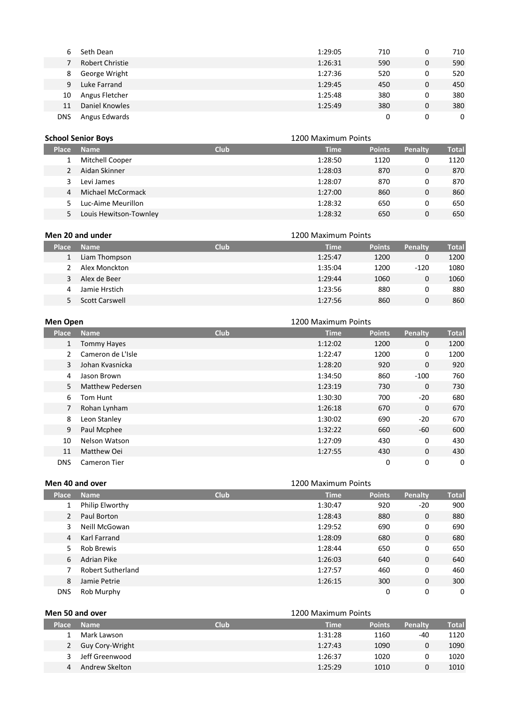| 6          | Seth Dean       | 1:29:05 | 710 | 0 | 710 |
|------------|-----------------|---------|-----|---|-----|
|            | Robert Christie | 1:26:31 | 590 | 0 | 590 |
| 8          | George Wright   | 1:27:36 | 520 | 0 | 520 |
| 9          | Luke Farrand    | 1:29:45 | 450 | 0 | 450 |
| 10         | Angus Fletcher  | 1:25:48 | 380 | 0 | 380 |
| 11         | Daniel Knowles  | 1:25:49 | 380 | 0 | 380 |
| <b>DNS</b> | Angus Edwards   |         | 0   | 0 | 0   |

|              | <b>School Senior Boys</b> |             | 1200 Maximum Points |               |         |       |
|--------------|---------------------------|-------------|---------------------|---------------|---------|-------|
| <b>Place</b> | <b>Name</b>               | <b>Club</b> | <b>Time</b>         | <b>Points</b> | Penalty | Total |
|              | Mitchell Cooper           |             | 1:28:50             | 1120          | 0       | 1120  |
|              | Aidan Skinner             |             | 1:28:03             | 870           | 0       | 870   |
| 3            | Levi James                |             | 1:28:07             | 870           | 0       | 870   |
| 4            | Michael McCormack         |             | 1:27:00             | 860           | 0       | 860   |
|              | Luc-Aime Meurillon        |             | 1:28:32             | 650           | 0       | 650   |
|              | Louis Hewitson-Townley    |             | 1:28:32             | 650           | 0       | 650   |

| Men 20 and under |                |             | 1200 Maximum Points |               |         |              |
|------------------|----------------|-------------|---------------------|---------------|---------|--------------|
| <b>Place</b>     | <b>Name</b>    | <b>Club</b> | <b>Time</b>         | <b>Points</b> | Penalty | <b>Total</b> |
|                  | Liam Thompson  |             | 1:25:47             | 1200          | 0       | 1200         |
|                  | Alex Monckton  |             | 1:35:04             | 1200          | $-120$  | 1080         |
| 3                | Alex de Beer   |             | 1:29:44             | 1060          | 0       | 1060         |
| 4                | Jamie Hrstich  |             | 1:23:56             | 880           | 0       | 880          |
|                  | Scott Carswell |             | 1:27:56             | 860           | 0       | 860          |

| <b>Men Open</b> | 1200 Maximum Points |             |             |               |             |              |
|-----------------|---------------------|-------------|-------------|---------------|-------------|--------------|
| <b>Place</b>    | <b>Name</b>         | <b>Club</b> | <b>Time</b> | <b>Points</b> | Penalty     | <b>Total</b> |
| $\mathbf{1}$    | <b>Tommy Hayes</b>  |             | 1:12:02     | 1200          | $\Omega$    | 1200         |
| $\overline{2}$  | Cameron de L'Isle   |             | 1:22:47     | 1200          | 0           | 1200         |
| 3               | Johan Kvasnicka     |             | 1:28:20     | 920           | $\mathbf 0$ | 920          |
| 4               | Jason Brown         |             | 1:34:50     | 860           | $-100$      | 760          |
| 5               | Matthew Pedersen    |             | 1:23:19     | 730           | $\Omega$    | 730          |
| 6               | Tom Hunt            |             | 1:30:30     | 700           | -20         | 680          |
| $\overline{7}$  | Rohan Lynham        |             | 1:26:18     | 670           | $\Omega$    | 670          |
| 8               | Leon Stanley        |             | 1:30:02     | 690           | -20         | 670          |
| 9               | Paul Mcphee         |             | 1:32:22     | 660           | -60         | 600          |
| 10              | Nelson Watson       |             | 1:27:09     | 430           | 0           | 430          |
| 11              | Matthew Oei         |             | 1:27:55     | 430           | $\mathbf 0$ | 430          |
| <b>DNS</b>      | Cameron Tier        |             |             | $\mathbf 0$   | 0           | 0            |

|                | Men 40 and over    |             | 1200 Maximum Points |               |              |              |
|----------------|--------------------|-------------|---------------------|---------------|--------------|--------------|
| <b>Place</b>   | <b>Name</b>        | <b>Club</b> | <b>Time</b>         | <b>Points</b> | Penalty      | <b>Total</b> |
| 1              | Philip Elworthy    |             | 1:30:47             | 920           | $-20$        | 900          |
| 2              | Paul Borton        |             | 1:28:43             | 880           | $\mathbf{0}$ | 880          |
| 3              | Neill McGowan      |             | 1:29:52             | 690           | 0            | 690          |
| $\overline{4}$ | Karl Farrand       |             | 1:28:09             | 680           | 0            | 680          |
| 5              | <b>Rob Brewis</b>  |             | 1:28:44             | 650           | 0            | 650          |
| 6              | <b>Adrian Pike</b> |             | 1:26:03             | 640           | 0            | 640          |
|                | Robert Sutherland  |             | 1:27:57             | 460           | 0            | 460          |
| 8              | Jamie Petrie       |             | 1:26:15             | 300           | $\Omega$     | 300          |
| <b>DNS</b>     | Rob Murphy         |             |                     | 0             | 0            | 0            |

| Men 50 and over |                 |             | 1200 Maximum Points |               |                |       |  |
|-----------------|-----------------|-------------|---------------------|---------------|----------------|-------|--|
| <b>Place</b>    | <b>Name</b>     | <b>Club</b> | <b>Time</b>         | <b>Points</b> | <b>Penalty</b> | Total |  |
|                 | Mark Lawson     |             | 1:31:28             | 1160          | -40            | 1120  |  |
| 2               | Guy Cory-Wright |             | 1:27:43             | 1090          | 0              | 1090  |  |
|                 | Jeff Greenwood  |             | 1:26:37             | 1020          |                | 1020  |  |
| 4               | Andrew Skelton  |             | 1:25:29             | 1010          | 0              | 1010  |  |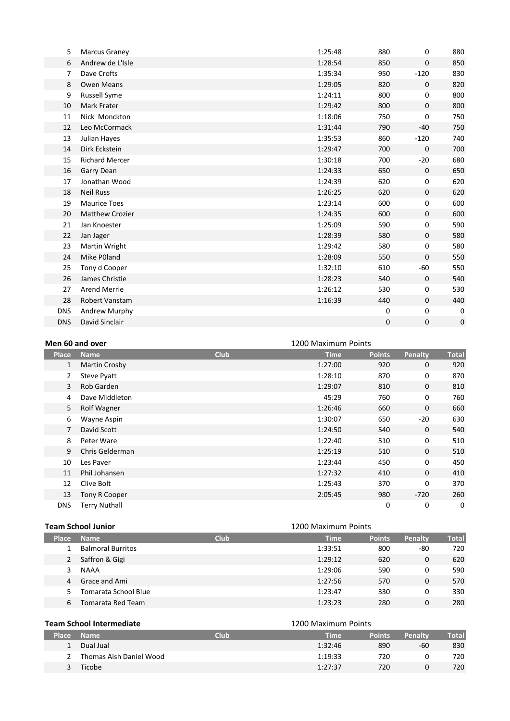| 5          | Marcus Graney          | 1:25:48 | 880 | 0            | 880 |
|------------|------------------------|---------|-----|--------------|-----|
| 6          | Andrew de L'Isle       | 1:28:54 | 850 | $\mathbf{0}$ | 850 |
| 7          | Dave Crofts            | 1:35:34 | 950 | $-120$       | 830 |
| 8          | <b>Owen Means</b>      | 1:29:05 | 820 | 0            | 820 |
| 9          | <b>Russell Syme</b>    | 1:24:11 | 800 | 0            | 800 |
| 10         | Mark Frater            | 1:29:42 | 800 | $\mathbf 0$  | 800 |
| 11         | Nick Monckton          | 1:18:06 | 750 | 0            | 750 |
| 12         | Leo McCormack          | 1:31:44 | 790 | $-40$        | 750 |
| 13         | Julian Hayes           | 1:35:53 | 860 | $-120$       | 740 |
| 14         | Dirk Eckstein          | 1:29:47 | 700 | $\Omega$     | 700 |
| 15         | <b>Richard Mercer</b>  | 1:30:18 | 700 | $-20$        | 680 |
| 16         | Garry Dean             | 1:24:33 | 650 | 0            | 650 |
| 17         | Jonathan Wood          | 1:24:39 | 620 | 0            | 620 |
| 18         | <b>Neil Russ</b>       | 1:26:25 | 620 | $\mathbf 0$  | 620 |
| 19         | <b>Maurice Toes</b>    | 1:23:14 | 600 | 0            | 600 |
| 20         | <b>Matthew Crozier</b> | 1:24:35 | 600 | $\mathbf{0}$ | 600 |
| 21         | Jan Knoester           | 1:25:09 | 590 | 0            | 590 |
| 22         | Jan Jager              | 1:28:39 | 580 | $\mathbf{0}$ | 580 |
| 23         | Martin Wright          | 1:29:42 | 580 | 0            | 580 |
| 24         | Mike P0land            | 1:28:09 | 550 | $\mathbf{0}$ | 550 |
| 25         | Tony d Cooper          | 1:32:10 | 610 | -60          | 550 |
| 26         | James Christie         | 1:28:23 | 540 | $\mathbf 0$  | 540 |
| 27         | <b>Arend Merrie</b>    | 1:26:12 | 530 | 0            | 530 |
| 28         | Robert Vanstam         | 1:16:39 | 440 | $\mathbf{0}$ | 440 |
| <b>DNS</b> | Andrew Murphy          |         | 0   | 0            | 0   |
| <b>DNS</b> | David Sinclair         |         | 0   | 0            | 0   |
|            |                        |         |     |              |     |

|                | Men 60 and over<br>1200 Maximum Points |             |             |               |              |              |
|----------------|----------------------------------------|-------------|-------------|---------------|--------------|--------------|
| <b>Place</b>   | <b>Name</b>                            | <b>Club</b> | <b>Time</b> | <b>Points</b> | Penalty      | <b>Total</b> |
| 1              | <b>Martin Crosby</b>                   |             | 1:27:00     | 920           | $\mathbf{0}$ | 920          |
| $\overline{2}$ | Steve Pyatt                            |             | 1:28:10     | 870           | 0            | 870          |
| 3              | Rob Garden                             |             | 1:29:07     | 810           | $\mathbf{0}$ | 810          |
| 4              | Dave Middleton                         |             | 45:29       | 760           | 0            | 760          |
| 5              | <b>Rolf Wagner</b>                     |             | 1:26:46     | 660           | 0            | 660          |
| 6              | Wayne Aspin                            |             | 1:30:07     | 650           | $-20$        | 630          |
| $\overline{7}$ | David Scott                            |             | 1:24:50     | 540           | $\mathbf{0}$ | 540          |
| 8              | Peter Ware                             |             | 1:22:40     | 510           | 0            | 510          |
| 9              | Chris Gelderman                        |             | 1:25:19     | 510           | $\mathbf{0}$ | 510          |
| 10             | Les Paver                              |             | 1:23:44     | 450           | $\Omega$     | 450          |
| 11             | Phil Johansen                          |             | 1:27:32     | 410           | $\mathbf{0}$ | 410          |
| 12             | Clive Bolt                             |             | 1:25:43     | 370           | 0            | 370          |
| 13             | Tony R Cooper                          |             | 2:05:45     | 980           | $-720$       | 260          |
| <b>DNS</b>     | <b>Terry Nuthall</b>                   |             |             | 0             | 0            | 0            |

## **Team School Junior Team School Junior 1200 Maximum Points**

| <b>Place</b> | <b>Name</b>              | <b>Club</b> | <b>Time</b> | <b>Points</b> | Penalty | Total |
|--------------|--------------------------|-------------|-------------|---------------|---------|-------|
|              | <b>Balmoral Burritos</b> |             | 1:33:51     | 800           | -80     | 720   |
| 2            | Saffron & Gigi           |             | 1:29:12     | 620           | 0       | 620   |
| 3            | <b>NAAA</b>              |             | 1:29:06     | 590           | 0       | 590   |
| 4            | Grace and Ami            |             | 1:27:56     | 570           | 0       | 570   |
| 5.           | Tomarata School Blue     |             | 1:23:47     | 330           | 0       | 330   |
| 6            | Tomarata Red Team        |             | 1:23:23     | 280           | 0       | 280   |

|              | <b>Team School Intermediate</b> |      | 1200 Maximum Points |               |         |       |
|--------------|---------------------------------|------|---------------------|---------------|---------|-------|
| <b>Place</b> | <b>Name</b>                     | Club | Time                | <b>Points</b> | Penalty | Total |
|              | Dual Jual                       |      | 1:32:46             | 890           | -60     | 830   |
|              | Thomas Aish Daniel Wood         |      | 1:19:33             | 720           |         | 720   |
|              | Ticobe                          |      | 1:27:37             | 720           |         | 720   |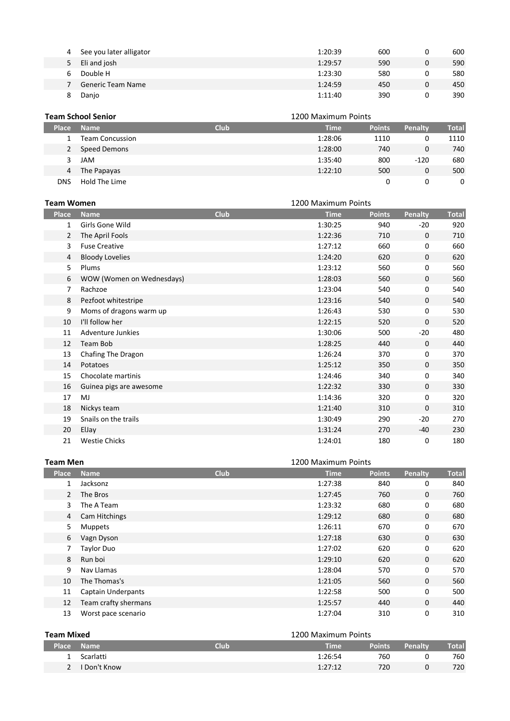| 4 | See you later alligator | 1:20:39 | 600 | 600 |
|---|-------------------------|---------|-----|-----|
|   | Eli and josh            | 1:29:57 | 590 | 590 |
| ь | Double H                | 1:23:30 | 580 | 580 |
|   | Generic Team Name       | 1:24:59 | 450 | 450 |
|   | Danjo                   | 1:11:40 | 390 | 390 |

|              | <b>Team School Senior</b><br>1200 Maximum Points |             |             |               |         |              |
|--------------|--------------------------------------------------|-------------|-------------|---------------|---------|--------------|
| <b>Place</b> | <b>Name</b>                                      | <b>Club</b> | <b>Time</b> | <b>Points</b> | Penalty | <b>Total</b> |
|              | <b>Team Concussion</b>                           |             | 1:28:06     | 1110          |         | 1110         |
|              | Speed Demons                                     |             | 1:28:00     | 740           | 0       | 740          |
| 3.           | JAM                                              |             | 1:35:40     | 800           | $-120$  | 680          |
| 4            | The Papayas                                      |             | 1:22:10     | 500           | 0       | 500          |
| DNS          | Hold The Lime                                    |             |             |               | 0       | $\mathbf{0}$ |

|                | <b>Team Women</b>         |             | 1200 Maximum Points |               |              |              |
|----------------|---------------------------|-------------|---------------------|---------------|--------------|--------------|
| <b>Place</b>   | <b>Name</b>               | <b>Club</b> | <b>Time</b>         | <b>Points</b> | Penalty      | <b>Total</b> |
| $\mathbf{1}$   | Girls Gone Wild           |             | 1:30:25             | 940           | $-20$        | 920          |
| $\overline{2}$ | The April Fools           |             | 1:22:36             | 710           | 0            | 710          |
| 3              | <b>Fuse Creative</b>      |             | 1:27:12             | 660           | 0            | 660          |
| 4              | <b>Bloody Lovelies</b>    |             | 1:24:20             | 620           | $\mathbf{0}$ | 620          |
| 5              | Plums                     |             | 1:23:12             | 560           | 0            | 560          |
| 6              | WOW (Women on Wednesdays) |             | 1:28:03             | 560           | $\mathbf{0}$ | 560          |
| 7              | Rachzoe                   |             | 1:23:04             | 540           | 0            | 540          |
| 8              | Pezfoot whitestripe       |             | 1:23:16             | 540           | $\mathbf{0}$ | 540          |
| 9              | Moms of dragons warm up   |             | 1:26:43             | 530           | 0            | 530          |
| 10             | I'll follow her           |             | 1:22:15             | 520           | 0            | 520          |
| 11             | Adventure Junkies         |             | 1:30:06             | 500           | $-20$        | 480          |
| 12             | Team Bob                  |             | 1:28:25             | 440           | 0            | 440          |
| 13             | Chafing The Dragon        |             | 1:26:24             | 370           | 0            | 370          |
| 14             | Potatoes                  |             | 1:25:12             | 350           | $\mathbf{0}$ | 350          |
| 15             | Chocolate martinis        |             | 1:24:46             | 340           | 0            | 340          |
| 16             | Guinea pigs are awesome   |             | 1:22:32             | 330           | $\mathbf{0}$ | 330          |
| 17             | MJ                        |             | 1:14:36             | 320           | 0            | 320          |
| 18             | Nickys team               |             | 1:21:40             | 310           | $\mathbf{0}$ | 310          |
| 19             | Snails on the trails      |             | 1:30:49             | 290           | $-20$        | 270          |
| 20             | ElJay                     |             | 1:31:24             | 270           | $-40$        | 230          |
| 21             | <b>Westie Chicks</b>      |             | 1:24:01             | 180           | 0            | 180          |

| <b>Team Men</b> | 1200 Maximum Points       |             |             |               |              |              |
|-----------------|---------------------------|-------------|-------------|---------------|--------------|--------------|
| <b>Place</b>    | <b>Name</b>               | <b>Club</b> | <b>Time</b> | <b>Points</b> | Penalty      | <b>Total</b> |
| 1               | Jacksonz                  |             | 1:27:38     | 840           | 0            | 840          |
| $\overline{2}$  | The Bros                  |             | 1:27:45     | 760           | $\mathbf{0}$ | 760          |
| 3               | The A Team                |             | 1:23:32     | 680           | 0            | 680          |
| 4               | Cam Hitchings             |             | 1:29:12     | 680           | $\mathbf{0}$ | 680          |
| 5               | <b>Muppets</b>            |             | 1:26:11     | 670           | 0            | 670          |
| 6               | Vagn Dyson                |             | 1:27:18     | 630           | $\mathbf{0}$ | 630          |
| 7               | <b>Taylor Duo</b>         |             | 1:27:02     | 620           | 0            | 620          |
| 8               | Run boi                   |             | 1:29:10     | 620           | $\Omega$     | 620          |
| 9               | Nav Llamas                |             | 1:28:04     | 570           | 0            | 570          |
| 10              | The Thomas's              |             | 1:21:05     | 560           | $\mathbf{0}$ | 560          |
| 11              | <b>Captain Underpants</b> |             | 1:22:58     | 500           | 0            | 500          |
| 12              | Team crafty shermans      |             | 1:25:57     | 440           | $\mathbf 0$  | 440          |
| 13              | Worst pace scenario       |             | 1:27:04     | 310           | $\Omega$     | 310          |

| <b>Team Mixed</b> |              | 1200 Maximum Points |         |               |          |              |
|-------------------|--------------|---------------------|---------|---------------|----------|--------------|
| <b>Place</b>      | <b>Name</b>  | <b>Club</b>         | Time    | <b>Points</b> | Penalty  | <b>Total</b> |
|                   | Scarlatti    |                     | 1:26:54 | 760           |          | 760          |
| $\mathcal{P}$     | I Don't Know |                     | 1:27:12 | 720           | $\Omega$ | 720          |